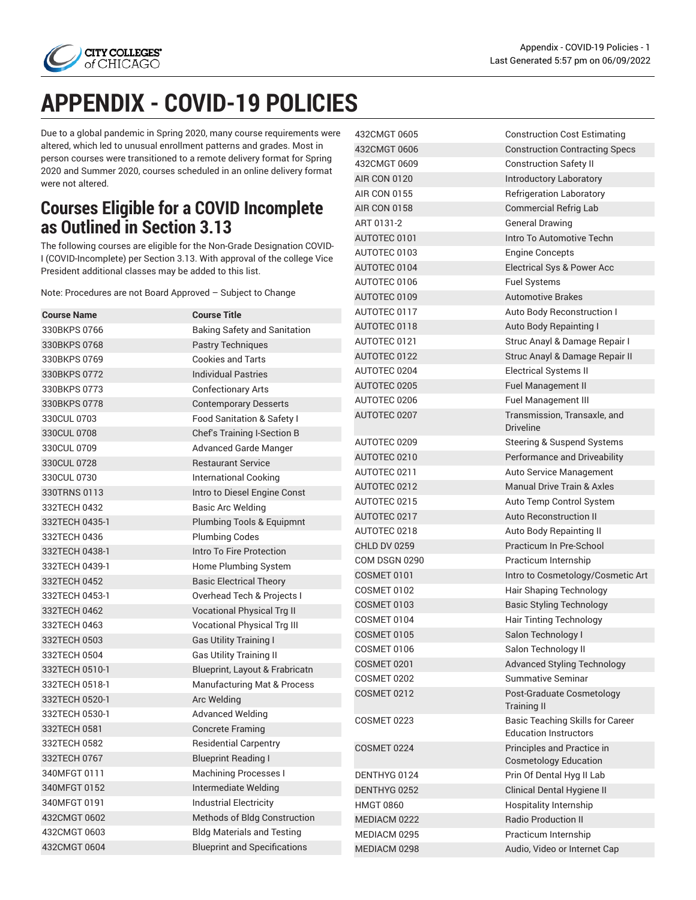

432CMGT 0605 Construction Cost Estimating 432CMGT 0606 Construction Contracting Specs

432CMGT 0609 Construction Safety II AIR CON 0120 **Introductory Laboratory** AIR CON 0155 Refrigeration Laboratory AIR CON 0158 Commercial Refrig Lab ART 0131-2 General Drawing

AUTOTEC 0101 **Intro To Automotive Techn** 

AUTOTEC 0103 Engine Concepts

## **APPENDIX - COVID-19 POLICIES**

Due to a global pandemic in Spring 2020, many course requirements were altered, which led to unusual enrollment patterns and grades. Most in person courses were transitioned to a remote delivery format for Spring 2020 and Summer 2020, courses scheduled in an online delivery format were not altered.

## **Courses Eligible for a COVID Incomplete as Outlined in Section 3.13**

The following courses are eligible for the Non-Grade Designation COVID-I (COVID-Incomplete) per Section 3.13. With approval of the college Vice

| President additional classes may be added to this list.     |                                     | AUTOTEC 0104        | Electrical Sys & Power Acc                                 |
|-------------------------------------------------------------|-------------------------------------|---------------------|------------------------------------------------------------|
| Note: Procedures are not Board Approved - Subject to Change |                                     | AUTOTEC 0106        | <b>Fuel Systems</b>                                        |
|                                                             |                                     | AUTOTEC 0109        | <b>Automotive Brakes</b>                                   |
| <b>Course Name</b>                                          | <b>Course Title</b>                 | AUTOTEC 0117        | Auto Body Reconstruction I                                 |
| 330BKPS 0766                                                | <b>Baking Safety and Sanitation</b> | AUTOTEC 0118        | Auto Body Repainting I                                     |
| 330BKPS 0768                                                | <b>Pastry Techniques</b>            | AUTOTEC 0121        | Struc Anayl & Damage Repair I                              |
| 330BKPS 0769                                                | <b>Cookies and Tarts</b>            | AUTOTEC 0122        | Struc Anayl & Damage Repair II                             |
| 330BKPS 0772                                                | <b>Individual Pastries</b>          | AUTOTEC 0204        | <b>Electrical Systems II</b>                               |
| 330BKPS 0773                                                | <b>Confectionary Arts</b>           | AUTOTEC 0205        | Fuel Management II                                         |
| 330BKPS 0778                                                | <b>Contemporary Desserts</b>        | AUTOTEC 0206        | Fuel Management III                                        |
| 330CUL 0703                                                 | Food Sanitation & Safety I          | AUTOTEC 0207        | Transmission, Transaxle, and                               |
| 330CUL 0708                                                 | Chef's Training I-Section B         |                     | <b>Driveline</b>                                           |
| 330CUL 0709                                                 | <b>Advanced Garde Manger</b>        | AUTOTEC 0209        | <b>Steering &amp; Suspend Systems</b>                      |
| 330CUL 0728                                                 | <b>Restaurant Service</b>           | AUTOTEC 0210        | Performance and Driveability                               |
| 330CUL 0730                                                 | <b>International Cooking</b>        | AUTOTEC 0211        | Auto Service Management                                    |
| 330TRNS 0113                                                | Intro to Diesel Engine Const        | AUTOTEC 0212        | <b>Manual Drive Train &amp; Axles</b>                      |
| 332TECH 0432                                                | <b>Basic Arc Welding</b>            | AUTOTEC 0215        | Auto Temp Control System                                   |
| 332TECH 0435-1                                              | Plumbing Tools & Equipmnt           | AUTOTEC 0217        | Auto Reconstruction II                                     |
| 332TECH 0436                                                | <b>Plumbing Codes</b>               | AUTOTEC 0218        | Auto Body Repainting II                                    |
| 332TECH 0438-1                                              | Intro To Fire Protection            | <b>CHLD DV 0259</b> | Practicum In Pre-School                                    |
| 332TECH 0439-1                                              | Home Plumbing System                | COM DSGN 0290       | Practicum Internship                                       |
| 332TECH 0452                                                | <b>Basic Electrical Theory</b>      | COSMET 0101         | Intro to Cosmetology/Cosmetic Art                          |
| 332TECH 0453-1                                              | Overhead Tech & Projects I          | <b>COSMET 0102</b>  | Hair Shaping Technology                                    |
| 332TECH 0462                                                | Vocational Physical Trg II          | <b>COSMET 0103</b>  | <b>Basic Styling Technology</b>                            |
| 332TECH 0463                                                | <b>Vocational Physical Trg III</b>  | COSMET 0104         | Hair Tinting Technology                                    |
| 332TECH 0503                                                | <b>Gas Utility Training I</b>       | <b>COSMET 0105</b>  | Salon Technology I                                         |
| 332TECH 0504                                                | <b>Gas Utility Training II</b>      | COSMET 0106         | Salon Technology II                                        |
| 332TECH 0510-1                                              | Blueprint, Layout & Frabricatn      | <b>COSMET 0201</b>  | <b>Advanced Styling Technology</b>                         |
| 332TECH 0518-1                                              | Manufacturing Mat & Process         | <b>COSMET 0202</b>  | <b>Summative Seminar</b>                                   |
| 332TECH 0520-1                                              | Arc Welding                         | <b>COSMET 0212</b>  | Post-Graduate Cosmetology                                  |
| 332TECH 0530-1                                              | <b>Advanced Welding</b>             |                     | <b>Training II</b>                                         |
| 332TECH 0581                                                | <b>Concrete Framing</b>             | COSMET 0223         | Basic Teaching Skills for Career                           |
| 332TECH 0582                                                | <b>Residential Carpentry</b>        |                     | <b>Education Instructors</b>                               |
| 332TECH 0767                                                | <b>Blueprint Reading I</b>          | <b>COSMET 0224</b>  | Principles and Practice in<br><b>Cosmetology Education</b> |
| 340MFGT 0111                                                | <b>Machining Processes I</b>        | DENTHYG 0124        | Prin Of Dental Hyg II Lab                                  |
| 340MFGT 0152                                                | Intermediate Welding                | DENTHYG 0252        | Clinical Dental Hygiene II                                 |
| 340MFGT 0191                                                | <b>Industrial Electricity</b>       | <b>HMGT 0860</b>    | Hospitality Internship                                     |
| 432CMGT 0602                                                | Methods of Bldg Construction        | MEDIACM 0222        | Radio Production II                                        |
| 432CMGT 0603                                                | <b>Bldg Materials and Testing</b>   | MEDIACM 0295        | Practicum Internship                                       |
| 432CMGT 0604                                                | <b>Blueprint and Specifications</b> | MEDIACM 0298        | Audio, Video or Internet Cap                               |
|                                                             |                                     |                     |                                                            |